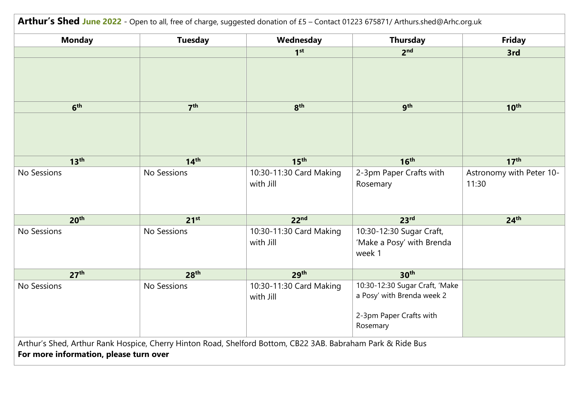| Arthur's Shed June 2022 - Open to all, free of charge, suggested donation of £5 - Contact 01223 675871/ Arthurs.shed@Arhc.org.uk                      |                  |                                      |                                                                                                     |                                   |
|-------------------------------------------------------------------------------------------------------------------------------------------------------|------------------|--------------------------------------|-----------------------------------------------------------------------------------------------------|-----------------------------------|
| <b>Monday</b>                                                                                                                                         | <b>Tuesday</b>   | Wednesday                            | <b>Thursday</b>                                                                                     | <b>Friday</b>                     |
|                                                                                                                                                       |                  | 1 <sup>st</sup>                      | 2 <sup>nd</sup>                                                                                     | 3rd                               |
|                                                                                                                                                       |                  |                                      |                                                                                                     |                                   |
| 6 <sup>th</sup>                                                                                                                                       | 7 <sup>th</sup>  | 8 <sup>th</sup>                      | gth                                                                                                 | 10 <sup>th</sup>                  |
|                                                                                                                                                       |                  |                                      |                                                                                                     |                                   |
| 13 <sup>th</sup>                                                                                                                                      | 14 <sup>th</sup> | 15 <sup>th</sup>                     | 16 <sup>th</sup>                                                                                    | 17 <sup>th</sup>                  |
| No Sessions                                                                                                                                           | No Sessions      | 10:30-11:30 Card Making<br>with Jill | 2-3pm Paper Crafts with<br>Rosemary                                                                 | Astronomy with Peter 10-<br>11:30 |
| 20 <sup>th</sup>                                                                                                                                      | 21 <sup>st</sup> | 22 <sup>nd</sup>                     | 23 <sup>rd</sup>                                                                                    | 24 <sup>th</sup>                  |
| No Sessions                                                                                                                                           | No Sessions      | 10:30-11:30 Card Making<br>with Jill | 10:30-12:30 Sugar Craft,<br>'Make a Posy' with Brenda<br>week 1                                     |                                   |
| 27 <sup>th</sup>                                                                                                                                      | 28 <sup>th</sup> | 29 <sup>th</sup>                     | 30 <sup>th</sup>                                                                                    |                                   |
| No Sessions                                                                                                                                           | No Sessions      | 10:30-11:30 Card Making<br>with Jill | 10:30-12:30 Sugar Craft, 'Make<br>a Posy' with Brenda week 2<br>2-3pm Paper Crafts with<br>Rosemary |                                   |
| Arthur's Shed, Arthur Rank Hospice, Cherry Hinton Road, Shelford Bottom, CB22 3AB. Babraham Park & Ride Bus<br>For more information, please turn over |                  |                                      |                                                                                                     |                                   |